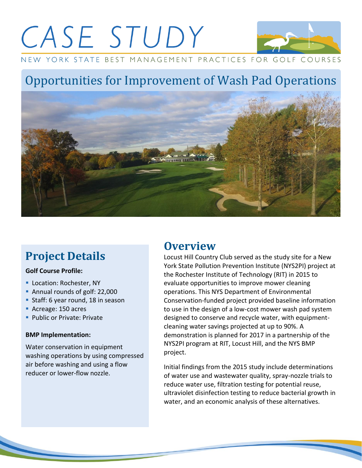# CASE STUDY



NEW YORK STATE BEST MANAGEMENT PRACTICES FOR GOLF COURSES

## Opportunities for Improvement of Wash Pad Operations



## **Project Details**

#### **Golf Course Profile:**

- Location: Rochester, NY
- Annual rounds of golf: 22,000
- Staff: 6 year round, 18 in season
- Acreage: 150 acres
- Public or Private: Private

#### **BMP Implementation:**

Water conservation in equipment washing operations by using compressed air before washing and using a flow reducer or lower-flow nozzle.

## **Overview**

Locust Hill Country Club served as the study site for a New York State Pollution Prevention Institute (NYS2PI) project at the Rochester Institute of Technology (RIT) in 2015 to evaluate opportunities to improve mower cleaning operations. This NYS Department of Environmental Conservation-funded project provided baseline information to use in the design of a low-cost mower wash pad system designed to conserve and recycle water, with equipmentcleaning water savings projected at up to 90%. A demonstration is planned for 2017 in a partnership of the NYS2PI program at RIT, Locust Hill, and the NYS BMP project.

Initial findings from the 2015 study include determinations of water use and wastewater quality, spray-nozzle trials to reduce water use, filtration testing for potential reuse, ultraviolet disinfection testing to reduce bacterial growth in water, and an economic analysis of these alternatives.